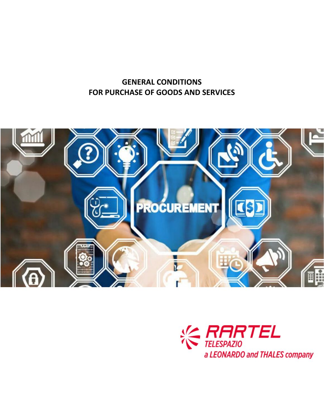# **GENERAL CONDITIONS FOR PURCHASE OF GOODS AND SERVICES**



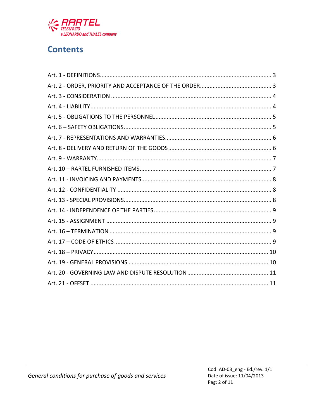

# **Contents**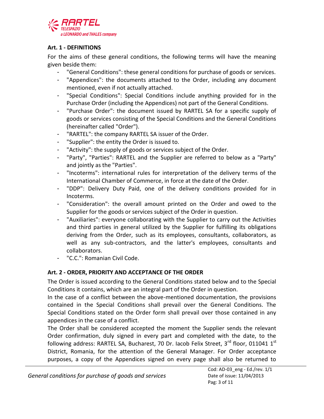

## <span id="page-2-0"></span>**Art. 1 - DEFINITIONS**

For the aims of these general conditions, the following terms will have the meaning given beside them:

- "General Conditions": these general conditions for purchase of goods or services.
- "Appendices": the documents attached to the Order, including any document mentioned, even if not actually attached.
- "Special Conditions": Special Conditions include anything provided for in the Purchase Order (including the Appendices) not part of the General Conditions.
- "Purchase Order": the document issued by RARTEL SA for a specific supply of goods or services consisting of the Special Conditions and the General Conditions (hereinafter called "Order").
- "RARTEL": the company RARTEL SA issuer of the Order.
- "Supplier": the entity the Order is issued to.
- "Activity": the supply of goods or services subject of the Order.
- "Party", "Parties": RARTEL and the Supplier are referred to below as a "Party" and jointly as the "Parties".
- "Incoterms": international rules for interpretation of the delivery terms of the International Chamber of Commerce, in force at the date of the Order.
- "DDP": Delivery Duty Paid, one of the delivery conditions provided for in Incoterms.
- "Consideration": the overall amount printed on the Order and owed to the Supplier for the goods or services subject of the Order in question.
- "Auxiliaries": everyone collaborating with the Supplier to carry out the Activities and third parties in general utilized by the Supplier for fulfilling its obligations deriving from the Order, such as its employees, consultants, collaborators, as well as any sub-contractors, and the latter's employees, consultants and collaborators.
- "C.C.": Romanian Civil Code.

# <span id="page-2-1"></span>**Art. 2 - ORDER, PRIORITY AND ACCEPTANCE OF THE ORDER**

The Order is issued according to the General Conditions stated below and to the Special Conditions it contains, which are an integral part of the Order in question.

In the case of a conflict between the above-mentioned documentation, the provisions contained in the Special Conditions shall prevail over the General Conditions. The Special Conditions stated on the Order form shall prevail over those contained in any appendices in the case of a conflict.

The Order shall be considered accepted the moment the Supplier sends the relevant Order confirmation, duly signed in every part and completed with the date, to the following address: RARTEL SA, Bucharest, 70 Dr. Iacob Felix Street, 3<sup>rd</sup> floor, 011041 1<sup>st</sup> District, Romania, for the attention of the General Manager. For Order acceptance purposes, a copy of the Appendices signed on every page shall also be returned to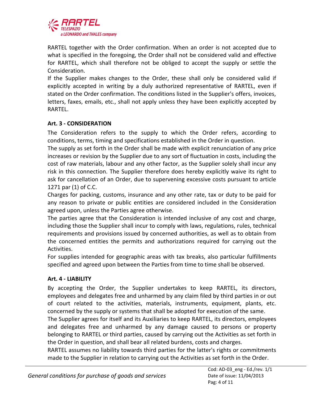

RARTEL together with the Order confirmation. When an order is not accepted due to what is specified in the foregoing, the Order shall not be considered valid and effective for RARTEL, which shall therefore not be obliged to accept the supply or settle the Consideration.

If the Supplier makes changes to the Order, these shall only be considered valid if explicitly accepted in writing by a duly authorized representative of RARTEL, even if stated on the Order confirmation. The conditions listed in the Supplier's offers, invoices, letters, faxes, emails, etc., shall not apply unless they have been explicitly accepted by RARTEL.

## <span id="page-3-0"></span>**Art. 3 - CONSIDERATION**

The Consideration refers to the supply to which the Order refers, according to conditions, terms, timing and specifications established in the Order in question.

The supply as set forth in the Order shall be made with explicit renunciation of any price increases or revision by the Supplier due to any sort of fluctuation in costs, including the cost of raw materials, labour and any other factor, as the Supplier solely shall incur any risk in this connection. The Supplier therefore does hereby explicitly waive its right to ask for cancellation of an Order, due to supervening excessive costs pursuant to article 1271 par (1) of C.C.

Charges for packing, customs, insurance and any other rate, tax or duty to be paid for any reason to private or public entities are considered included in the Consideration agreed upon, unless the Parties agree otherwise.

The parties agree that the Consideration is intended inclusive of any cost and charge, including those the Supplier shall incur to comply with laws, regulations, rules, technical requirements and provisions issued by concerned authorities, as well as to obtain from the concerned entities the permits and authorizations required for carrying out the Activities.

For supplies intended for geographic areas with tax breaks, also particular fulfillments specified and agreed upon between the Parties from time to time shall be observed.

## <span id="page-3-1"></span>**Art. 4 - LIABILITY**

By accepting the Order, the Supplier undertakes to keep RARTEL, its directors, employees and delegates free and unharmed by any claim filed by third parties in or out of court related to the activities, materials, instruments, equipment, plants, etc. concerned by the supply or systems that shall be adopted for execution of the same.

The Supplier agrees for itself and its Auxiliaries to keep RARTEL, its directors, employees and delegates free and unharmed by any damage caused to persons or property belonging to RARTEL or third parties, caused by carrying out the Activities as set forth in the Order in question, and shall bear all related burdens, costs and charges.

RARTEL assumes no liability towards third parties for the latter's rights or commitments made to the Supplier in relation to carrying out the Activities as set forth in the Order.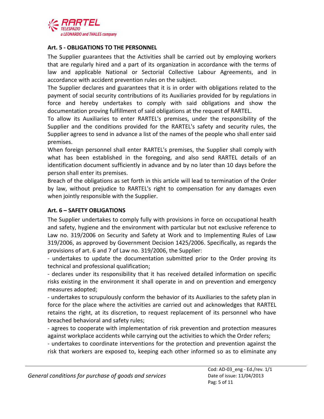

#### <span id="page-4-0"></span>**Art. 5 - OBLIGATIONS TO THE PERSONNEL**

The Supplier guarantees that the Activities shall be carried out by employing workers that are regularly hired and a part of its organization in accordance with the terms of law and applicable National or Sectorial Collective Labour Agreements, and in accordance with accident prevention rules on the subject.

The Supplier declares and guarantees that it is in order with obligations related to the payment of social security contributions of its Auxiliaries provided for by regulations in force and hereby undertakes to comply with said obligations and show the documentation proving fulfillment of said obligations at the request of RARTEL.

To allow its Auxiliaries to enter RARTEL's premises, under the responsibility of the Supplier and the conditions provided for the RARTEL's safety and security rules, the Supplier agrees to send in advance a list of the names of the people who shall enter said premises.

When foreign personnel shall enter RARTEL's premises, the Supplier shall comply with what has been established in the foregoing, and also send RARTEL details of an identification document sufficiently in advance and by no later than 10 days before the person shall enter its premises.

Breach of the obligations as set forth in this article will lead to termination of the Order by law, without prejudice to RARTEL's right to compensation for any damages even when jointly responsible with the Supplier.

## <span id="page-4-1"></span>**Art. 6 – SAFETY OBLIGATIONS**

The Supplier undertakes to comply fully with provisions in force on occupational health and safety, hygiene and the environment with particular but not exclusive reference to Law no. 319/2006 on Security and Safety at Work and to Implementing Rules of Law 319/2006, as approved by Government Decision 1425/2006. Specifically, as regards the provisions of art. 6 and 7 of Law no. 319/2006, the Supplier:

- undertakes to update the documentation submitted prior to the Order proving its technical and professional qualification;

- declares under its responsibility that it has received detailed information on specific risks existing in the environment it shall operate in and on prevention and emergency measures adopted;

- undertakes to scrupulously conform the behavior of its Auxiliaries to the safety plan in force for the place where the activities are carried out and acknowledges that RARTEL retains the right, at its discretion, to request replacement of its personnel who have breached behavioral and safety rules;

- agrees to cooperate with implementation of risk prevention and protection measures against workplace accidents while carrying out the activities to which the Order refers;

- undertakes to coordinate interventions for the protection and prevention against the risk that workers are exposed to, keeping each other informed so as to eliminate any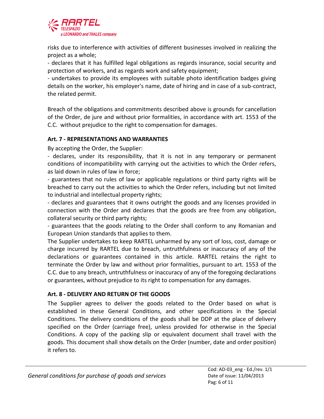

risks due to interference with activities of different businesses involved in realizing the project as a whole;

- declares that it has fulfilled legal obligations as regards insurance, social security and protection of workers, and as regards work and safety equipment;

- undertakes to provide its employees with suitable photo identification badges giving details on the worker, his employer's name, date of hiring and in case of a sub-contract, the related permit.

Breach of the obligations and commitments described above is grounds for cancellation of the Order, de jure and without prior formalities, in accordance with art. 1553 of the C.C. without prejudice to the right to compensation for damages.

## <span id="page-5-0"></span>**Art. 7 - REPRESENTATIONS AND WARRANTIES**

By accepting the Order, the Supplier:

- declares, under its responsibility, that it is not in any temporary or permanent conditions of incompatibility with carrying out the activities to which the Order refers, as laid down in rules of law in force;

- guarantees that no rules of law or applicable regulations or third party rights will be breached to carry out the activities to which the Order refers, including but not limited to industrial and intellectual property rights;

- declares and guarantees that it owns outright the goods and any licenses provided in connection with the Order and declares that the goods are free from any obligation, collateral security or third party rights;

- guarantees that the goods relating to the Order shall conform to any Romanian and European Union standards that applies to them.

The Supplier undertakes to keep RARTEL unharmed by any sort of loss, cost, damage or charge incurred by RARTEL due to breach, untruthfulness or inaccuracy of any of the declarations or guarantees contained in this article. RARTEL retains the right to terminate the Order by law and without prior formalities, pursuant to art. 1553 of the C.C. due to any breach, untruthfulness or inaccuracy of any of the foregoing declarations or guarantees, without prejudice to its right to compensation for any damages.

## <span id="page-5-1"></span>**Art. 8 - DELIVERY AND RETURN OF THE GOODS**

The Supplier agrees to deliver the goods related to the Order based on what is established in these General Conditions, and other specifications in the Special Conditions. The delivery conditions of the goods shall be DDP at the place of delivery specified on the Order (carriage free), unless provided for otherwise in the Special Conditions. A copy of the packing slip or equivalent document shall travel with the goods. This document shall show details on the Order (number, date and order position) it refers to.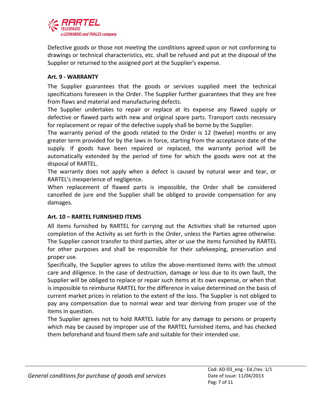

Defective goods or those not meeting the conditions agreed upon or not conforming to drawings or technical characteristics, etc. shall be refused and put at the disposal of the Supplier or returned to the assigned port at the Supplier's expense.

#### <span id="page-6-0"></span>**Art. 9 - WARRANTY**

The Supplier guarantees that the goods or services supplied meet the technical specifications foreseen in the Order. The Supplier further guarantees that they are free from flaws and material and manufacturing defects.

The Supplier undertakes to repair or replace at its expense any flawed supply or defective or flawed parts with new and original spare parts. Transport costs necessary for replacement or repair of the defective supply shall be borne by the Supplier.

The warranty period of the goods related to the Order is 12 (twelve) months or any greater term provided for by the laws in force, starting from the acceptance date of the supply. If goods have been repaired or replaced, the warranty period will be automatically extended by the period of time for which the goods were not at the disposal of RARTEL.

The warranty does not apply when a defect is caused by natural wear and tear, or RARTEL's inexperience of negligence.

When replacement of flawed parts is impossible, the Order shall be considered cancelled de jure and the Supplier shall be obliged to provide compensation for any damages.

## <span id="page-6-1"></span>**Art. 10 – RARTEL FURNISHED ITEMS**

All items furnished by RARTEL for carrying out the Activities shall be returned upon completion of the Activity as set forth in the Order, unless the Parties agree otherwise. The Supplier cannot transfer to third parties, alter or use the items furnished by RARTEL for other purposes and shall be responsible for their safekeeping, preservation and proper use.

Specifically, the Supplier agrees to utilize the above-mentioned items with the utmost care and diligence. In the case of destruction, damage or loss due to its own fault, the Supplier will be obliged to replace or repair such items at its own expense, or when that is impossible to reimburse RARTEL for the difference in value determined on the basis of current market prices in relation to the extent of the loss. The Supplier is not obliged to pay any compensation due to normal wear and tear deriving from proper use of the items in question.

The Supplier agrees not to hold RARTEL liable for any damage to persons or property which may be caused by improper use of the RARTEL furnished items, and has checked them beforehand and found them safe and suitable for their intended use.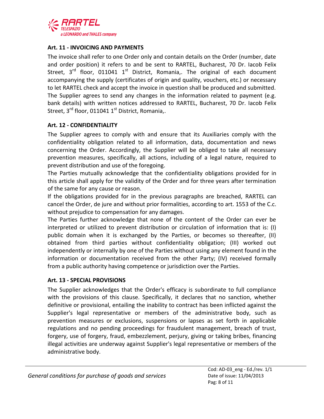

#### <span id="page-7-0"></span>**Art. 11 - INVOICING AND PAYMENTS**

The invoice shall refer to one Order only and contain details on the Order (number, date and order position) it refers to and be sent to RARTEL, Bucharest, 70 Dr. Iacob Felix Street,  $3^{rd}$  floor, 011041 1<sup>st</sup> District, Romania,. The original of each document accompanying the supply (certificates of origin and quality, vouchers, etc.) or necessary to let RARTEL check and accept the invoice in question shall be produced and submitted. The Supplier agrees to send any changes in the information related to payment (e.g. bank details) with written notices addressed to RARTEL, Bucharest, 70 Dr. Iacob Felix Street, 3<sup>rd</sup> floor, 011041 1<sup>st</sup> District, Romania,.

#### <span id="page-7-1"></span>**Art. 12 - CONFIDENTIALITY**

The Supplier agrees to comply with and ensure that its Auxiliaries comply with the confidentiality obligation related to all information, data, documentation and news concerning the Order. Accordingly, the Supplier will be obliged to take all necessary prevention measures, specifically, all actions, including of a legal nature, required to prevent distribution and use of the foregoing.

The Parties mutually acknowledge that the confidentiality obligations provided for in this article shall apply for the validity of the Order and for three years after termination of the same for any cause or reason.

If the obligations provided for in the previous paragraphs are breached, RARTEL can cancel the Order, de jure and without prior formalities, according to art. 1553 of the C.c. without prejudice to compensation for any damages.

The Parties further acknowledge that none of the content of the Order can ever be interpreted or utilized to prevent distribution or circulation of information that is: (I) public domain when it is exchanged by the Parties, or becomes so thereafter, (II) obtained from third parties without confidentiality obligation; (III) worked out independently or internally by one of the Parties without using any element found in the information or documentation received from the other Party; (IV) received formally from a public authority having competence or jurisdiction over the Parties.

#### <span id="page-7-2"></span>**Art. 13 - SPECIAL PROVISIONS**

The Supplier acknowledges that the Order's efficacy is subordinate to full compliance with the provisions of this clause. Specifically, it declares that no sanction, whether definitive or provisional, entailing the inability to contract has been inflicted against the Supplier's legal representative or members of the administrative body, such as prevention measures or exclusions, suspensions or lapses as set forth in applicable regulations and no pending proceedings for fraudulent management, breach of trust, forgery, use of forgery, fraud, embezzlement, perjury, giving or taking bribes, financing illegal activities are underway against Supplier's legal representative or members of the administrative body.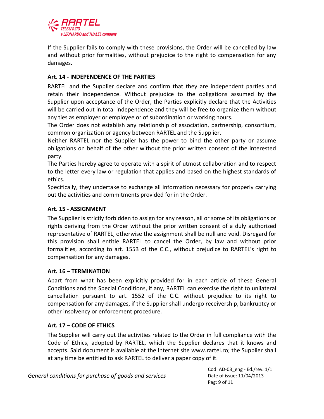

If the Supplier fails to comply with these provisions, the Order will be cancelled by law and without prior formalities, without prejudice to the right to compensation for any damages.

## <span id="page-8-0"></span>**Art. 14 - INDEPENDENCE OF THE PARTIES**

RARTEL and the Supplier declare and confirm that they are independent parties and retain their independence. Without prejudice to the obligations assumed by the Supplier upon acceptance of the Order, the Parties explicitly declare that the Activities will be carried out in total independence and they will be free to organize them without any ties as employer or employee or of subordination or working hours.

The Order does not establish any relationship of association, partnership, consortium, common organization or agency between RARTEL and the Supplier.

Neither RARTEL nor the Supplier has the power to bind the other party or assume obligations on behalf of the other without the prior written consent of the interested party.

The Parties hereby agree to operate with a spirit of utmost collaboration and to respect to the letter every law or regulation that applies and based on the highest standards of ethics.

Specifically, they undertake to exchange all information necessary for properly carrying out the activities and commitments provided for in the Order.

## <span id="page-8-1"></span>**Art. 15 - ASSIGNMENT**

The Supplier is strictly forbidden to assign for any reason, all or some of its obligations or rights deriving from the Order without the prior written consent of a duly authorized representative of RARTEL, otherwise the assignment shall be null and void. Disregard for this provision shall entitle RARTEL to cancel the Order, by law and without prior formalities, according to art. 1553 of the C.C., without prejudice to RARTEL's right to compensation for any damages.

## <span id="page-8-2"></span>**Art. 16 – TERMINATION**

Apart from what has been explicitly provided for in each article of these General Conditions and the Special Conditions, if any, RARTEL can exercise the right to unilateral cancellation pursuant to art. 1552 of the C.C. without prejudice to its right to compensation for any damages, if the Supplier shall undergo receivership, bankruptcy or other insolvency or enforcement procedure.

## <span id="page-8-3"></span>**Art. 17 – CODE OF ETHICS**

The Supplier will carry out the activities related to the Order in full compliance with the Code of Ethics, adopted by RARTEL, which the Supplier declares that it knows and accepts. Said document is available at the Internet site www.rartel.ro; the Supplier shall at any time be entitled to ask RARTEL to deliver a paper copy of it.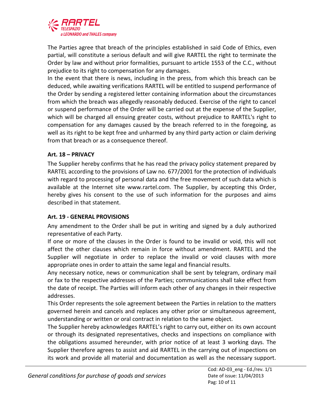

The Parties agree that breach of the principles established in said Code of Ethics, even partial, will constitute a serious default and will give RARTEL the right to terminate the Order by law and without prior formalities, pursuant to article 1553 of the C.C., without prejudice to its right to compensation for any damages.

In the event that there is news, including in the press, from which this breach can be deduced, while awaiting verifications RARTEL will be entitled to suspend performance of the Order by sending a registered letter containing information about the circumstances from which the breach was allegedly reasonably deduced. Exercise of the right to cancel or suspend performance of the Order will be carried out at the expense of the Supplier, which will be charged all ensuing greater costs, without prejudice to RARTEL's right to compensation for any damages caused by the breach referred to in the foregoing, as well as its right to be kept free and unharmed by any third party action or claim deriving from that breach or as a consequence thereof.

## <span id="page-9-0"></span>**Art. 18 – PRIVACY**

The Supplier hereby confirms that he has read the privacy policy statement prepared by RARTEL according to the provisions of Law no. 677/2001 for the protection of individuals with regard to processing of personal data and the free movement of such data which is available at the Internet site www.rartel.com. The Supplier, by accepting this Order, hereby gives his consent to the use of such information for the purposes and aims described in that statement.

## <span id="page-9-1"></span>**Art. 19 - GENERAL PROVISIONS**

Any amendment to the Order shall be put in writing and signed by a duly authorized representative of each Party.

If one or more of the clauses in the Order is found to be invalid or void, this will not affect the other clauses which remain in force without amendment. RARTEL and the Supplier will negotiate in order to replace the invalid or void clauses with more appropriate ones in order to attain the same legal and financial results.

Any necessary notice, news or communication shall be sent by telegram, ordinary mail or fax to the respective addresses of the Parties; communications shall take effect from the date of receipt. The Parties will inform each other of any changes in their respective addresses.

This Order represents the sole agreement between the Parties in relation to the matters governed herein and cancels and replaces any other prior or simultaneous agreement, understanding or written or oral contract in relation to the same object.

The Supplier hereby acknowledges RARTEL's right to carry out, either on its own account or through its designated representatives, checks and inspections on compliance with the obligations assumed hereunder, with prior notice of at least 3 working days. The Supplier therefore agrees to assist and aid RARTEL in the carrying out of inspections on its work and provide all material and documentation as well as the necessary support.